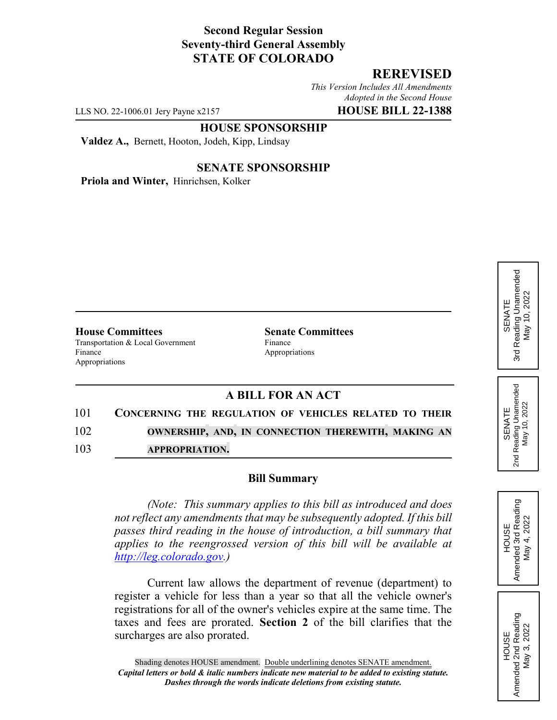# **Second Regular Session Seventy-third General Assembly STATE OF COLORADO**

# **REREVISED**

*This Version Includes All Amendments Adopted in the Second House*

LLS NO. 22-1006.01 Jery Payne x2157 **HOUSE BILL 22-1388**

#### **HOUSE SPONSORSHIP**

**Valdez A.,** Bernett, Hooton, Jodeh, Kipp, Lindsay

#### **SENATE SPONSORSHIP**

**Priola and Winter,** Hinrichsen, Kolker

**House Committees Senate Committees** Transportation & Local Government Finance Finance Appropriations Appropriations

### **A BILL FOR AN ACT**

- 101 **CONCERNING THE REGULATION OF VEHICLES RELATED TO THEIR** 102 **OWNERSHIP, AND, IN CONNECTION THEREWITH, MAKING AN**
- 103 **APPROPRIATION.**

### **Bill Summary**

*(Note: This summary applies to this bill as introduced and does not reflect any amendments that may be subsequently adopted. If this bill passes third reading in the house of introduction, a bill summary that applies to the reengrossed version of this bill will be available at http://leg.colorado.gov.)*

Current law allows the department of revenue (department) to register a vehicle for less than a year so that all the vehicle owner's registrations for all of the owner's vehicles expire at the same time. The taxes and fees are prorated. **Section 2** of the bill clarifies that the surcharges are also prorated.



HOUSE Amended 2nd Reading May 3, 2022

Amended 2nd Reading<br>May 3, 2022

SENATE 2nd Reading Unamended May 10, 2022

Reading Unamended<br>May 10, 2022

2<sub>nd</sub>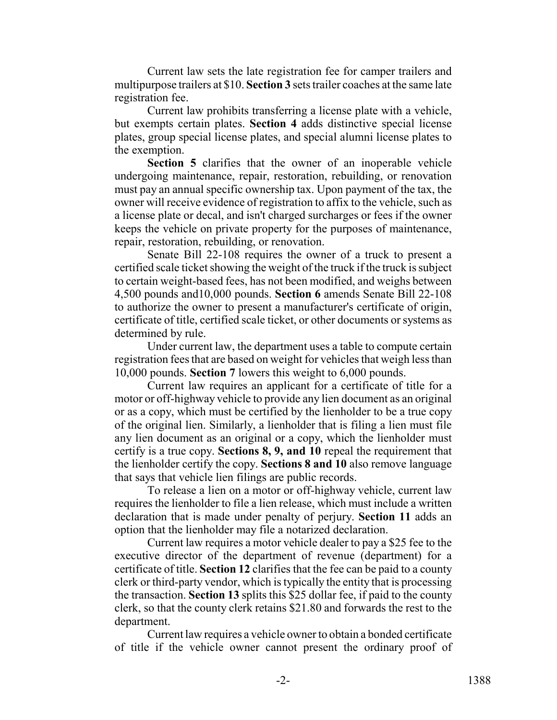Current law sets the late registration fee for camper trailers and multipurpose trailers at \$10. **Section 3** sets trailer coaches at the same late registration fee.

Current law prohibits transferring a license plate with a vehicle, but exempts certain plates. **Section 4** adds distinctive special license plates, group special license plates, and special alumni license plates to the exemption.

**Section 5** clarifies that the owner of an inoperable vehicle undergoing maintenance, repair, restoration, rebuilding, or renovation must pay an annual specific ownership tax. Upon payment of the tax, the owner will receive evidence of registration to affix to the vehicle, such as a license plate or decal, and isn't charged surcharges or fees if the owner keeps the vehicle on private property for the purposes of maintenance, repair, restoration, rebuilding, or renovation.

Senate Bill 22-108 requires the owner of a truck to present a certified scale ticket showing the weight of the truck if the truck is subject to certain weight-based fees, has not been modified, and weighs between 4,500 pounds and10,000 pounds. **Section 6** amends Senate Bill 22-108 to authorize the owner to present a manufacturer's certificate of origin, certificate of title, certified scale ticket, or other documents or systems as determined by rule.

Under current law, the department uses a table to compute certain registration fees that are based on weight for vehicles that weigh less than 10,000 pounds. **Section 7** lowers this weight to 6,000 pounds.

Current law requires an applicant for a certificate of title for a motor or off-highway vehicle to provide any lien document as an original or as a copy, which must be certified by the lienholder to be a true copy of the original lien. Similarly, a lienholder that is filing a lien must file any lien document as an original or a copy, which the lienholder must certify is a true copy. **Sections 8, 9, and 10** repeal the requirement that the lienholder certify the copy. **Sections 8 and 10** also remove language that says that vehicle lien filings are public records.

To release a lien on a motor or off-highway vehicle, current law requires the lienholder to file a lien release, which must include a written declaration that is made under penalty of perjury. **Section 11** adds an option that the lienholder may file a notarized declaration.

Current law requires a motor vehicle dealer to pay a \$25 fee to the executive director of the department of revenue (department) for a certificate of title. **Section 12** clarifies that the fee can be paid to a county clerk or third-party vendor, which is typically the entity that is processing the transaction. **Section 13** splits this \$25 dollar fee, if paid to the county clerk, so that the county clerk retains \$21.80 and forwards the rest to the department.

Current law requires a vehicle owner to obtain a bonded certificate of title if the vehicle owner cannot present the ordinary proof of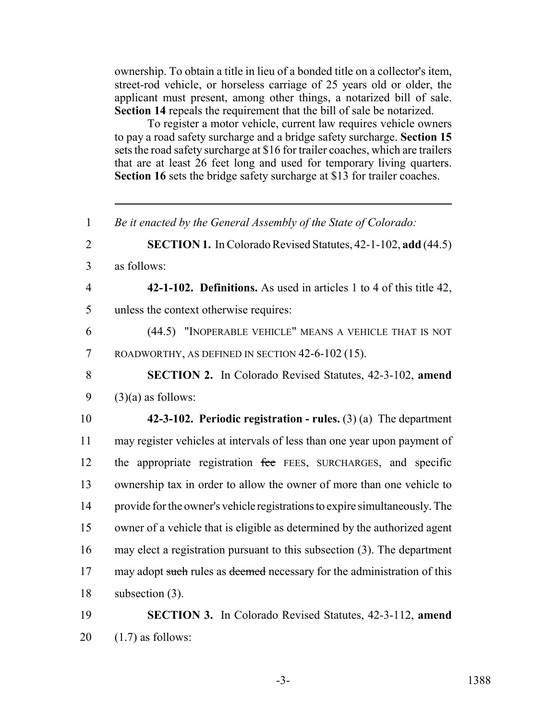ownership. To obtain a title in lieu of a bonded title on a collector's item, street-rod vehicle, or horseless carriage of 25 years old or older, the applicant must present, among other things, a notarized bill of sale. **Section 14** repeals the requirement that the bill of sale be notarized.

To register a motor vehicle, current law requires vehicle owners to pay a road safety surcharge and a bridge safety surcharge. **Section 15** sets the road safety surcharge at \$16 for trailer coaches, which are trailers that are at least 26 feet long and used for temporary living quarters. **Section 16** sets the bridge safety surcharge at \$13 for trailer coaches.

 *Be it enacted by the General Assembly of the State of Colorado:* **SECTION 1.** In Colorado Revised Statutes, 42-1-102, **add** (44.5) as follows: **42-1-102. Definitions.** As used in articles 1 to 4 of this title 42, unless the context otherwise requires: (44.5) "INOPERABLE VEHICLE" MEANS A VEHICLE THAT IS NOT ROADWORTHY, AS DEFINED IN SECTION 42-6-102 (15). **SECTION 2.** In Colorado Revised Statutes, 42-3-102, **amend**  $(3)(a)$  as follows: **42-3-102. Periodic registration - rules.** (3) (a) The department may register vehicles at intervals of less than one year upon payment of 12 the appropriate registration fee FEES, SURCHARGES, and specific ownership tax in order to allow the owner of more than one vehicle to provide for the owner's vehicle registrations to expire simultaneously. The owner of a vehicle that is eligible as determined by the authorized agent may elect a registration pursuant to this subsection (3). The department 17 may adopt such rules as deemed necessary for the administration of this subsection (3). **SECTION 3.** In Colorado Revised Statutes, 42-3-112, **amend**

 $20 \quad (1.7)$  as follows: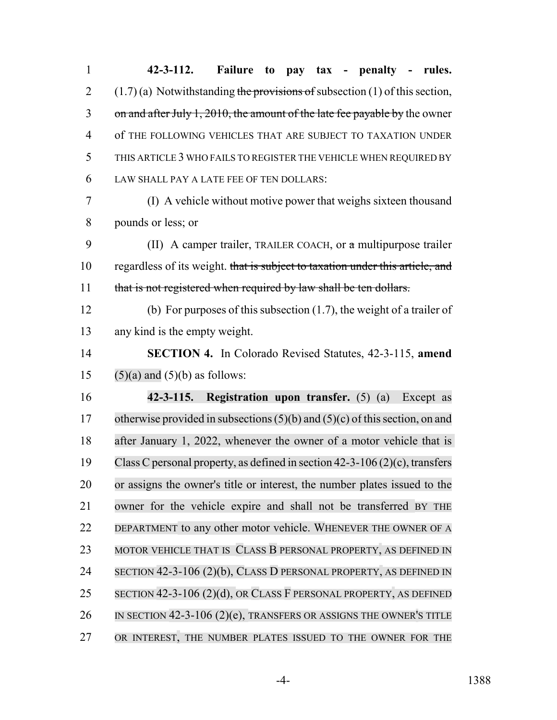1 **42-3-112. Failure to pay tax - penalty - rules.** 2 (1.7) (a) Notwithstanding the provisions of subsection (1) of this section, 3 on and after July 1, 2010, the amount of the late fee payable by the owner 4 of THE FOLLOWING VEHICLES THAT ARE SUBJECT TO TAXATION UNDER 5 THIS ARTICLE 3 WHO FAILS TO REGISTER THE VEHICLE WHEN REQUIRED BY 6 LAW SHALL PAY A LATE FEE OF TEN DOLLARS: 7 (I) A vehicle without motive power that weighs sixteen thousand 8 pounds or less; or 9 (II) A camper trailer, TRAILER COACH, or a multipurpose trailer 10 regardless of its weight. that is subject to taxation under this article, and 11 that is not registered when required by law shall be ten dollars. 12 (b) For purposes of this subsection (1.7), the weight of a trailer of 13 any kind is the empty weight. 14 **SECTION 4.** In Colorado Revised Statutes, 42-3-115, **amend** 15  $(5)(a)$  and  $(5)(b)$  as follows: 16 **42-3-115. Registration upon transfer.** (5) (a) Except as 17 otherwise provided in subsections  $(5)(b)$  and  $(5)(c)$  of this section, on and 18 after January 1, 2022, whenever the owner of a motor vehicle that is 19 Class C personal property, as defined in section  $42-3-106(2)(c)$ , transfers 20 or assigns the owner's title or interest, the number plates issued to the 21 owner for the vehicle expire and shall not be transferred BY THE 22 DEPARTMENT to any other motor vehicle. WHENEVER THE OWNER OF A 23 MOTOR VEHICLE THAT IS CLASS B PERSONAL PROPERTY, AS DEFINED IN 24 SECTION 42-3-106 (2)(b), CLASS D PERSONAL PROPERTY, AS DEFINED IN 25 SECTION 42-3-106 (2)(d), OR CLASS F PERSONAL PROPERTY, AS DEFINED 26 IN SECTION 42-3-106 (2)(e), TRANSFERS OR ASSIGNS THE OWNER'S TITLE 27 OR INTEREST, THE NUMBER PLATES ISSUED TO THE OWNER FOR THE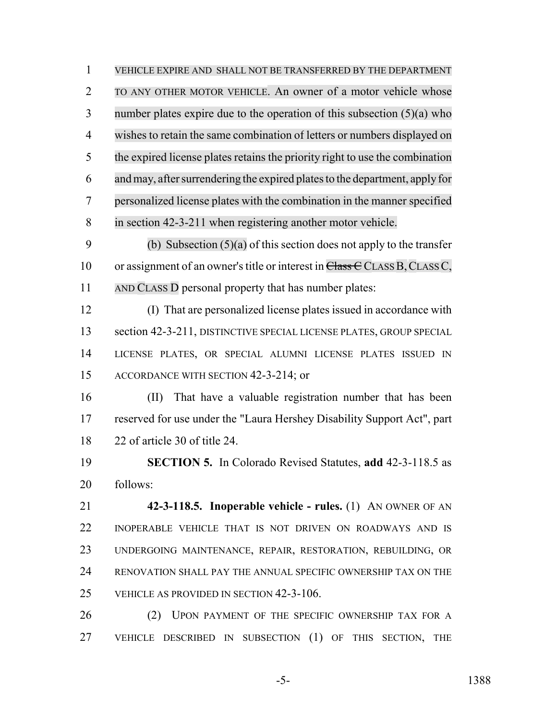VEHICLE EXPIRE AND SHALL NOT BE TRANSFERRED BY THE DEPARTMENT TO ANY OTHER MOTOR VEHICLE. An owner of a motor vehicle whose number plates expire due to the operation of this subsection (5)(a) who wishes to retain the same combination of letters or numbers displayed on the expired license plates retains the priority right to use the combination 6 and may, after surrendering the expired plates to the department, apply for personalized license plates with the combination in the manner specified in section 42-3-211 when registering another motor vehicle. 9 (b) Subsection  $(5)(a)$  of this section does not apply to the transfer

10 or assignment of an owner's title or interest in  $\overline{\text{Class C}}$  CLASS B, CLASS C, 11 AND CLASS D personal property that has number plates:

 (I) That are personalized license plates issued in accordance with 13 section 42-3-211, DISTINCTIVE SPECIAL LICENSE PLATES, GROUP SPECIAL LICENSE PLATES, OR SPECIAL ALUMNI LICENSE PLATES ISSUED IN ACCORDANCE WITH SECTION 42-3-214; or

 (II) That have a valuable registration number that has been reserved for use under the "Laura Hershey Disability Support Act", part 22 of article 30 of title 24.

 **SECTION 5.** In Colorado Revised Statutes, **add** 42-3-118.5 as follows:

 **42-3-118.5. Inoperable vehicle - rules.** (1) AN OWNER OF AN INOPERABLE VEHICLE THAT IS NOT DRIVEN ON ROADWAYS AND IS UNDERGOING MAINTENANCE, REPAIR, RESTORATION, REBUILDING, OR RENOVATION SHALL PAY THE ANNUAL SPECIFIC OWNERSHIP TAX ON THE VEHICLE AS PROVIDED IN SECTION 42-3-106.

26 (2) UPON PAYMENT OF THE SPECIFIC OWNERSHIP TAX FOR A VEHICLE DESCRIBED IN SUBSECTION (1) OF THIS SECTION, THE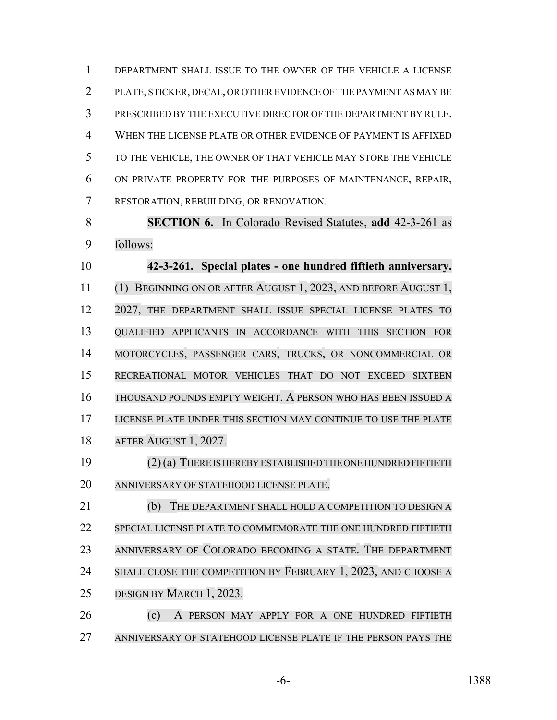DEPARTMENT SHALL ISSUE TO THE OWNER OF THE VEHICLE A LICENSE PLATE, STICKER, DECAL, OR OTHER EVIDENCE OF THE PAYMENT AS MAY BE PRESCRIBED BY THE EXECUTIVE DIRECTOR OF THE DEPARTMENT BY RULE. WHEN THE LICENSE PLATE OR OTHER EVIDENCE OF PAYMENT IS AFFIXED TO THE VEHICLE, THE OWNER OF THAT VEHICLE MAY STORE THE VEHICLE ON PRIVATE PROPERTY FOR THE PURPOSES OF MAINTENANCE, REPAIR, RESTORATION, REBUILDING, OR RENOVATION.

 **SECTION 6.** In Colorado Revised Statutes, **add** 42-3-261 as follows:

 **42-3-261. Special plates - one hundred fiftieth anniversary.** (1) BEGINNING ON OR AFTER AUGUST 1, 2023, AND BEFORE AUGUST 1, 12 2027, THE DEPARTMENT SHALL ISSUE SPECIAL LICENSE PLATES TO QUALIFIED APPLICANTS IN ACCORDANCE WITH THIS SECTION FOR MOTORCYCLES, PASSENGER CARS, TRUCKS, OR NONCOMMERCIAL OR RECREATIONAL MOTOR VEHICLES THAT DO NOT EXCEED SIXTEEN THOUSAND POUNDS EMPTY WEIGHT. A PERSON WHO HAS BEEN ISSUED A LICENSE PLATE UNDER THIS SECTION MAY CONTINUE TO USE THE PLATE AFTER AUGUST 1, 2027.

 (2)(a) THEREIS HEREBY ESTABLISHED THE ONE HUNDRED FIFTIETH ANNIVERSARY OF STATEHOOD LICENSE PLATE.

21 (b) THE DEPARTMENT SHALL HOLD A COMPETITION TO DESIGN A SPECIAL LICENSE PLATE TO COMMEMORATE THE ONE HUNDRED FIFTIETH ANNIVERSARY OF COLORADO BECOMING A STATE. THE DEPARTMENT 24 SHALL CLOSE THE COMPETITION BY FEBRUARY 1, 2023, AND CHOOSE A DESIGN BY MARCH 1, 2023.

 (c) A PERSON MAY APPLY FOR A ONE HUNDRED FIFTIETH ANNIVERSARY OF STATEHOOD LICENSE PLATE IF THE PERSON PAYS THE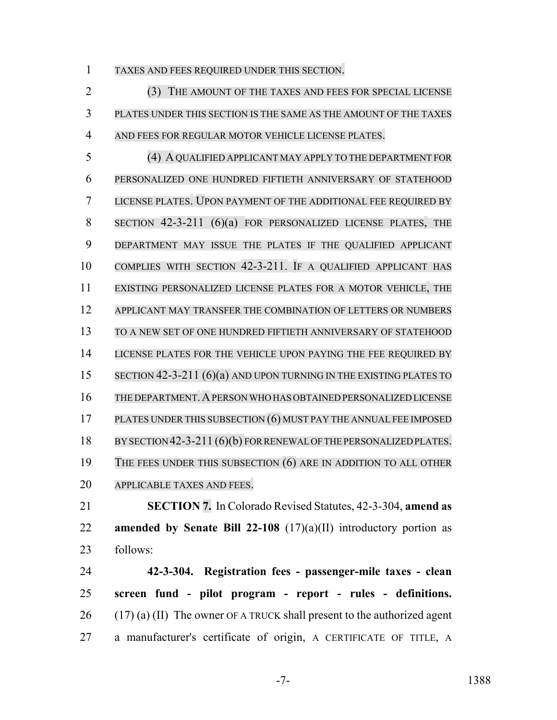TAXES AND FEES REQUIRED UNDER THIS SECTION.

 (3) THE AMOUNT OF THE TAXES AND FEES FOR SPECIAL LICENSE PLATES UNDER THIS SECTION IS THE SAME AS THE AMOUNT OF THE TAXES AND FEES FOR REGULAR MOTOR VEHICLE LICENSE PLATES.

 (4) AQUALIFIED APPLICANT MAY APPLY TO THE DEPARTMENT FOR PERSONALIZED ONE HUNDRED FIFTIETH ANNIVERSARY OF STATEHOOD LICENSE PLATES. UPON PAYMENT OF THE ADDITIONAL FEE REQUIRED BY SECTION 42-3-211 (6)(a) FOR PERSONALIZED LICENSE PLATES, THE DEPARTMENT MAY ISSUE THE PLATES IF THE QUALIFIED APPLICANT COMPLIES WITH SECTION 42-3-211. IF A QUALIFIED APPLICANT HAS EXISTING PERSONALIZED LICENSE PLATES FOR A MOTOR VEHICLE, THE APPLICANT MAY TRANSFER THE COMBINATION OF LETTERS OR NUMBERS TO A NEW SET OF ONE HUNDRED FIFTIETH ANNIVERSARY OF STATEHOOD 14 LICENSE PLATES FOR THE VEHICLE UPON PAYING THE FEE REQUIRED BY 15 SECTION 42-3-211 (6)(a) AND UPON TURNING IN THE EXISTING PLATES TO THE DEPARTMENT.APERSONWHO HAS OBTAINED PERSONALIZED LICENSE PLATES UNDER THIS SUBSECTION (6) MUST PAY THE ANNUAL FEE IMPOSED 18 BY SECTION 42-3-211 (6)(b) FOR RENEWAL OF THE PERSONALIZED PLATES. 19 THE FEES UNDER THIS SUBSECTION (6) ARE IN ADDITION TO ALL OTHER APPLICABLE TAXES AND FEES.

 **SECTION 7.** In Colorado Revised Statutes, 42-3-304, **amend as amended by Senate Bill 22-108** (17)(a)(II) introductory portion as follows:

 **42-3-304. Registration fees - passenger-mile taxes - clean screen fund - pilot program - report - rules - definitions.**  $(17)$  (a) (II) The owner OF A TRUCK shall present to the authorized agent a manufacturer's certificate of origin, A CERTIFICATE OF TITLE, A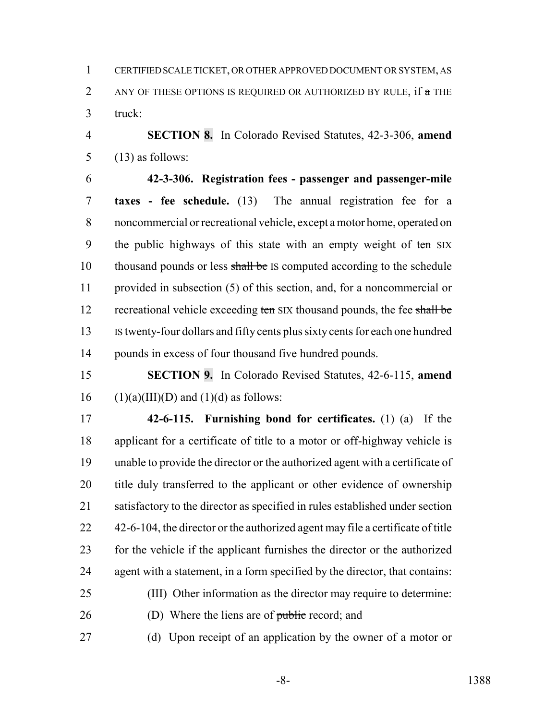CERTIFIED SCALE TICKET, OR OTHER APPROVED DOCUMENT OR SYSTEM, AS 2 ANY OF THESE OPTIONS IS REQUIRED OR AUTHORIZED BY RULE, if a THE truck:

 **SECTION 8.** In Colorado Revised Statutes, 42-3-306, **amend** 5  $(13)$  as follows:

 **42-3-306. Registration fees - passenger and passenger-mile taxes - fee schedule.** (13) The annual registration fee for a noncommercial or recreational vehicle, except a motor home, operated on 9 the public highways of this state with an empty weight of ten SIX 10 thousand pounds or less shall be IS computed according to the schedule provided in subsection (5) of this section, and, for a noncommercial or 12 recreational vehicle exceeding ten SIX thousand pounds, the fee shall be IS twenty-four dollars and fifty cents plus sixty cents for each one hundred pounds in excess of four thousand five hundred pounds.

 **SECTION 9.** In Colorado Revised Statutes, 42-6-115, **amend** (1)(a)(III)(D) and (1)(d) as follows:

 **42-6-115. Furnishing bond for certificates.** (1) (a) If the applicant for a certificate of title to a motor or off-highway vehicle is unable to provide the director or the authorized agent with a certificate of 20 title duly transferred to the applicant or other evidence of ownership satisfactory to the director as specified in rules established under section 22 42-6-104, the director or the authorized agent may file a certificate of title for the vehicle if the applicant furnishes the director or the authorized agent with a statement, in a form specified by the director, that contains:

- (III) Other information as the director may require to determine: (D) Where the liens are of public record; and
- (d) Upon receipt of an application by the owner of a motor or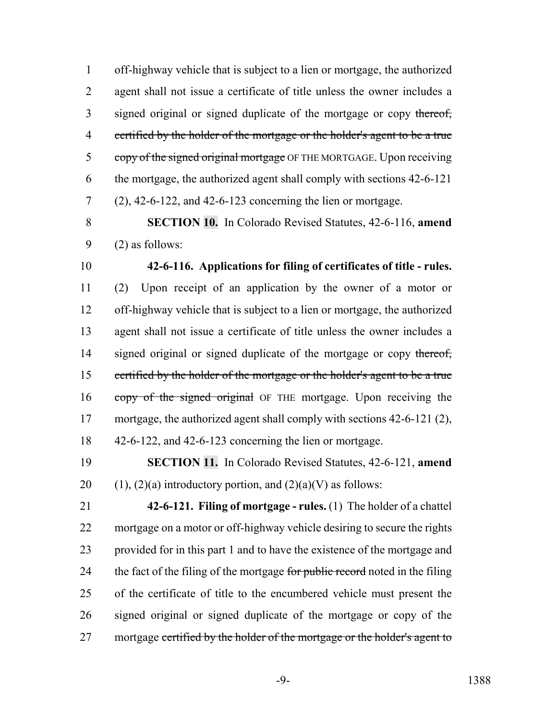off-highway vehicle that is subject to a lien or mortgage, the authorized agent shall not issue a certificate of title unless the owner includes a 3 signed original or signed duplicate of the mortgage or copy thereof, 4 certified by the holder of the mortgage or the holder's agent to be a true 5 copy of the signed original mortgage OF THE MORTGAGE. Upon receiving the mortgage, the authorized agent shall comply with sections 42-6-121 (2), 42-6-122, and 42-6-123 concerning the lien or mortgage.

 **SECTION 10.** In Colorado Revised Statutes, 42-6-116, **amend** (2) as follows:

 **42-6-116. Applications for filing of certificates of title - rules.** (2) Upon receipt of an application by the owner of a motor or off-highway vehicle that is subject to a lien or mortgage, the authorized agent shall not issue a certificate of title unless the owner includes a 14 signed original or signed duplicate of the mortgage or copy thereof, certified by the holder of the mortgage or the holder's agent to be a true 16 copy of the signed original OF THE mortgage. Upon receiving the mortgage, the authorized agent shall comply with sections 42-6-121 (2), 42-6-122, and 42-6-123 concerning the lien or mortgage.

 **SECTION 11.** In Colorado Revised Statutes, 42-6-121, **amend** 20 (1), (2)(a) introductory portion, and  $(2)(a)(V)$  as follows:

 **42-6-121. Filing of mortgage - rules.** (1) The holder of a chattel mortgage on a motor or off-highway vehicle desiring to secure the rights provided for in this part 1 and to have the existence of the mortgage and 24 the fact of the filing of the mortgage for public record noted in the filing of the certificate of title to the encumbered vehicle must present the signed original or signed duplicate of the mortgage or copy of the 27 mortgage certified by the holder of the mortgage or the holder's agent to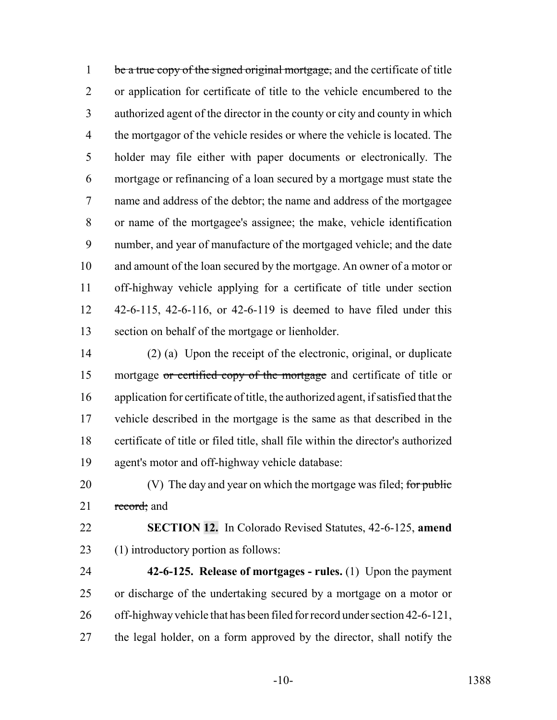1 be a true copy of the signed original mortgage, and the certificate of title or application for certificate of title to the vehicle encumbered to the authorized agent of the director in the county or city and county in which the mortgagor of the vehicle resides or where the vehicle is located. The holder may file either with paper documents or electronically. The mortgage or refinancing of a loan secured by a mortgage must state the name and address of the debtor; the name and address of the mortgagee or name of the mortgagee's assignee; the make, vehicle identification number, and year of manufacture of the mortgaged vehicle; and the date and amount of the loan secured by the mortgage. An owner of a motor or off-highway vehicle applying for a certificate of title under section 42-6-115, 42-6-116, or 42-6-119 is deemed to have filed under this section on behalf of the mortgage or lienholder.

 (2) (a) Upon the receipt of the electronic, original, or duplicate 15 mortgage or certified copy of the mortgage and certificate of title or application for certificate of title, the authorized agent, if satisfied that the vehicle described in the mortgage is the same as that described in the certificate of title or filed title, shall file within the director's authorized agent's motor and off-highway vehicle database:

20  $\hspace{1cm}$  (V) The day and year on which the mortgage was filed; for public 21 record; and

 **SECTION 12.** In Colorado Revised Statutes, 42-6-125, **amend** (1) introductory portion as follows:

 **42-6-125. Release of mortgages - rules.** (1) Upon the payment or discharge of the undertaking secured by a mortgage on a motor or off-highway vehicle that has been filed for record under section 42-6-121, the legal holder, on a form approved by the director, shall notify the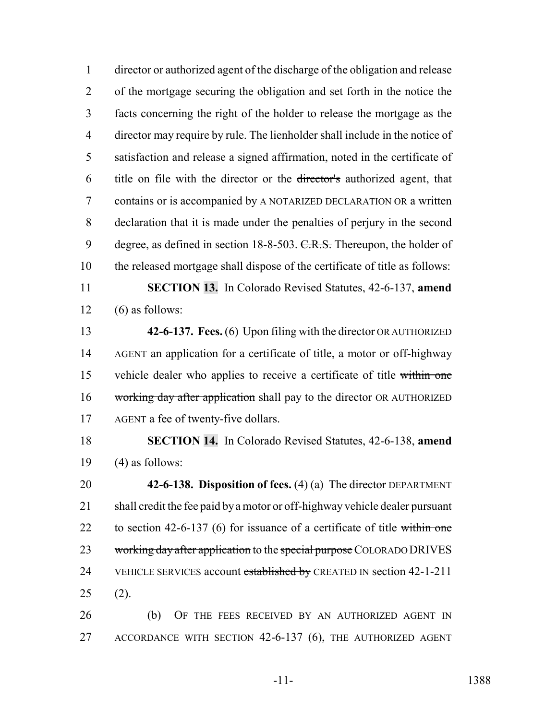director or authorized agent of the discharge of the obligation and release of the mortgage securing the obligation and set forth in the notice the facts concerning the right of the holder to release the mortgage as the director may require by rule. The lienholder shall include in the notice of satisfaction and release a signed affirmation, noted in the certificate of title on file with the director or the director's authorized agent, that contains or is accompanied by A NOTARIZED DECLARATION OR a written declaration that it is made under the penalties of perjury in the second 9 degree, as defined in section 18-8-503. C.R.S. Thereupon, the holder of the released mortgage shall dispose of the certificate of title as follows:

 **SECTION 13.** In Colorado Revised Statutes, 42-6-137, **amend**  $12 \quad (6)$  as follows:

 **42-6-137. Fees.** (6) Upon filing with the director OR AUTHORIZED AGENT an application for a certificate of title, a motor or off-highway 15 vehicle dealer who applies to receive a certificate of title within one 16 working day after application shall pay to the director OR AUTHORIZED 17 AGENT a fee of twenty-five dollars.

 **SECTION 14.** In Colorado Revised Statutes, 42-6-138, **amend** 19  $(4)$  as follows:

 **42-6-138. Disposition of fees.** (4) (a) The director DEPARTMENT shall credit the fee paid by a motor or off-highway vehicle dealer pursuant 22 to section 42-6-137 (6) for issuance of a certificate of title within one 23 working day after application to the special purpose COLORADO DRIVES 24 VEHICLE SERVICES account established by CREATED IN section 42-1-211 (2).

 (b) OF THE FEES RECEIVED BY AN AUTHORIZED AGENT IN ACCORDANCE WITH SECTION 42-6-137 (6), THE AUTHORIZED AGENT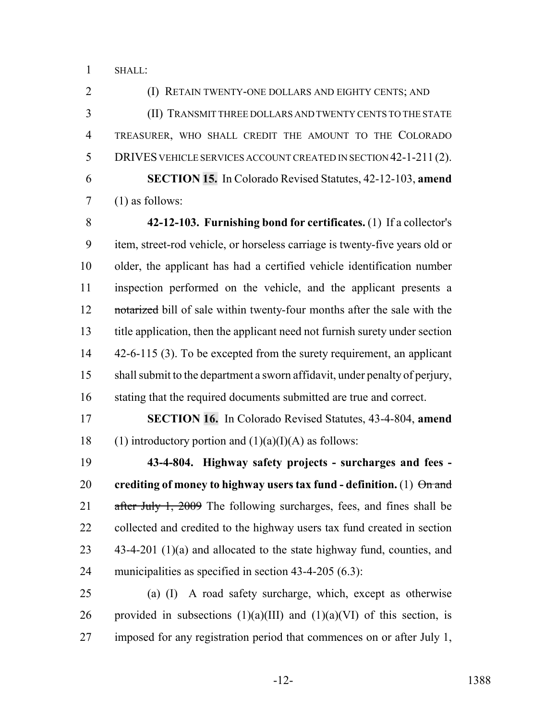SHALL:

 (I) RETAIN TWENTY-ONE DOLLARS AND EIGHTY CENTS; AND (II) TRANSMIT THREE DOLLARS AND TWENTY CENTS TO THE STATE TREASURER, WHO SHALL CREDIT THE AMOUNT TO THE COLORADO DRIVES VEHICLE SERVICES ACCOUNT CREATED IN SECTION 42-1-211 (2). **SECTION 15.** In Colorado Revised Statutes, 42-12-103, **amend** (1) as follows:

 **42-12-103. Furnishing bond for certificates.** (1) If a collector's item, street-rod vehicle, or horseless carriage is twenty-five years old or older, the applicant has had a certified vehicle identification number inspection performed on the vehicle, and the applicant presents a 12 notarized bill of sale within twenty-four months after the sale with the title application, then the applicant need not furnish surety under section 14 42-6-115 (3). To be excepted from the surety requirement, an applicant shall submit to the department a sworn affidavit, under penalty of perjury, 16 stating that the required documents submitted are true and correct.

 **SECTION 16.** In Colorado Revised Statutes, 43-4-804, **amend** 18 (1) introductory portion and  $(1)(a)(I)(A)$  as follows:

 **43-4-804. Highway safety projects - surcharges and fees - crediting of money to highway users tax fund - definition.** (1) On and 21 after July 1, 2009 The following surcharges, fees, and fines shall be 22 collected and credited to the highway users tax fund created in section 23 43-4-201 (1)(a) and allocated to the state highway fund, counties, and municipalities as specified in section 43-4-205 (6.3):

 (a) (I) A road safety surcharge, which, except as otherwise 26 provided in subsections  $(1)(a)(III)$  and  $(1)(a)(VI)$  of this section, is imposed for any registration period that commences on or after July 1,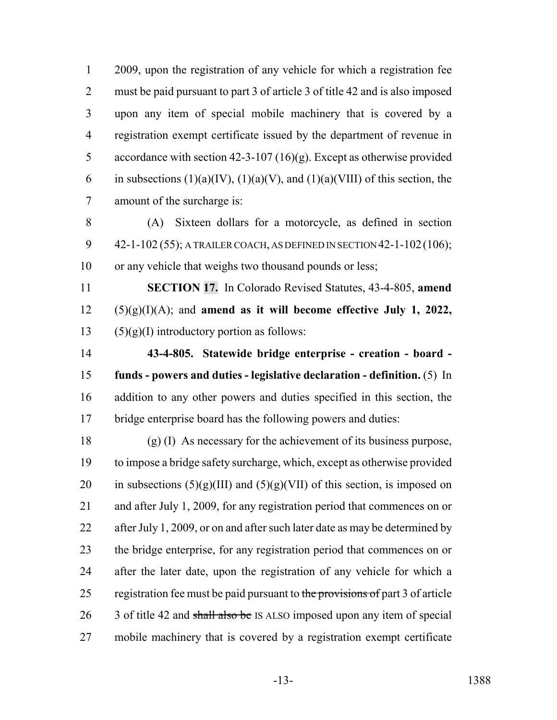2009, upon the registration of any vehicle for which a registration fee must be paid pursuant to part 3 of article 3 of title 42 and is also imposed upon any item of special mobile machinery that is covered by a registration exempt certificate issued by the department of revenue in accordance with section 42-3-107 (16)(g). Except as otherwise provided 6 in subsections  $(1)(a)(IV), (1)(a)(V),$  and  $(1)(a)(VIII)$  of this section, the amount of the surcharge is:

 (A) Sixteen dollars for a motorcycle, as defined in section 42-1-102 (55); A TRAILER COACH, AS DEFINED IN SECTION 42-1-102(106); or any vehicle that weighs two thousand pounds or less;

 **SECTION 17.** In Colorado Revised Statutes, 43-4-805, **amend** (5)(g)(I)(A); and **amend as it will become effective July 1, 2022,** 13 (5)(g)(I) introductory portion as follows:

 **43-4-805. Statewide bridge enterprise - creation - board - funds - powers and duties - legislative declaration - definition.** (5) In addition to any other powers and duties specified in this section, the bridge enterprise board has the following powers and duties:

 (g) (I) As necessary for the achievement of its business purpose, to impose a bridge safety surcharge, which, except as otherwise provided 20 in subsections  $(5)(g)(III)$  and  $(5)(g)(VII)$  of this section, is imposed on and after July 1, 2009, for any registration period that commences on or 22 after July 1, 2009, or on and after such later date as may be determined by the bridge enterprise, for any registration period that commences on or after the later date, upon the registration of any vehicle for which a 25 registration fee must be paid pursuant to the provisions of part 3 of article 26 3 of title 42 and shall also be IS ALSO imposed upon any item of special mobile machinery that is covered by a registration exempt certificate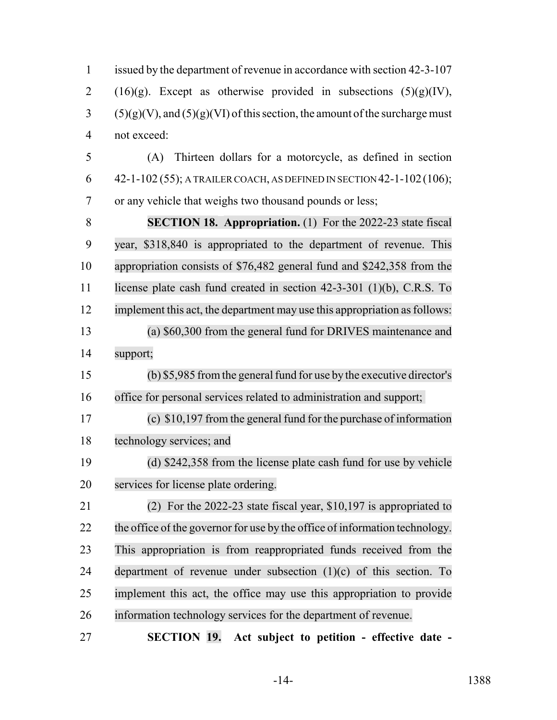issued by the department of revenue in accordance with section 42-3-107 2 (16)(g). Except as otherwise provided in subsections  $(5)(g)(IV)$ , (5)(g)(V), and (5)(g)(VI) of this section, the amount of the surcharge must not exceed: (A) Thirteen dollars for a motorcycle, as defined in section 6 42-1-102 (55); A TRAILER COACH, AS DEFINED IN SECTION 42-1-102 (106); or any vehicle that weighs two thousand pounds or less; **SECTION 18. Appropriation.** (1) For the 2022-23 state fiscal year, \$318,840 is appropriated to the department of revenue. This appropriation consists of \$76,482 general fund and \$242,358 from the license plate cash fund created in section 42-3-301 (1)(b), C.R.S. To 12 implement this act, the department may use this appropriation as follows: (a) \$60,300 from the general fund for DRIVES maintenance and support; 15 (b) \$5,985 from the general fund for use by the executive director's office for personal services related to administration and support; (c) \$10,197 from the general fund for the purchase of information technology services; and (d) \$242,358 from the license plate cash fund for use by vehicle services for license plate ordering. (2) For the 2022-23 state fiscal year, \$10,197 is appropriated to the office of the governor for use by the office of information technology. This appropriation is from reappropriated funds received from the 24 department of revenue under subsection  $(1)(c)$  of this section. To implement this act, the office may use this appropriation to provide information technology services for the department of revenue. **SECTION 19. Act subject to petition - effective date -**